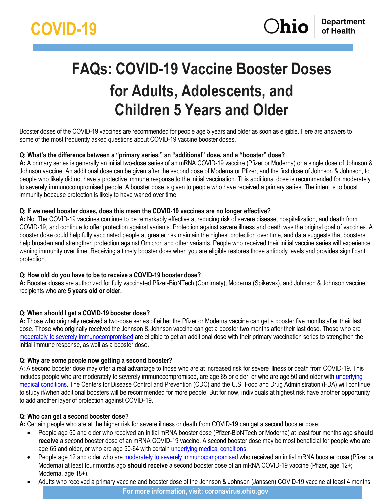# **FAQs: COVID-19 Vaccine Booster Doses for Adults, Adolescents, and Children 5 Years and Older**

Booster doses of the COVID-19 vaccines are recommended for people age 5 years and older as soon as eligible. Here are answers to some of the most frequently asked questions about COVID-19 vaccine booster doses.

# **Q: What's the difference between a "primary series," an "additional" dose, and a "booster" dose?**

**A:** A primary series is generally an initial two-dose series of an mRNA COVID-19 vaccine (Pfizer or Moderna) or a single dose of Johnson & Johnson vaccine. An additional dose can be given after the second dose of Moderna or Pfizer, and the first dose of Johnson & Johnson, to people who likely did not have a protective immune response to the initial vaccination. This additional dose is recommended for moderately to severely immunocompromised people. A booster dose is given to people who have received a primary series. The intent is to boost immunity because protection is likely to have waned over time.

## **Q: If we need booster doses, does this mean the COVID-19 vaccines are no longer effective?**

**A:** No. The COVID-19 vaccines continue to be remarkably effective at reducing risk of severe disease, hospitalization, and death from COVID-19, and continue to offer protection against variants. Protection against severe illness and death was the original goal of vaccines. A booster dose could help fully vaccinated people at greater risk maintain the highest protection over time, and data suggests that boosters help broaden and strengthen protection against Omicron and other variants. People who received their initial vaccine series will experience waning immunity over time. Receiving a timely booster dose when you are eligible restores those antibody levels and provides significant protection.

# **Q: How old do you have to be to receive a COVID-19 booster dose?**

**A:** Booster doses are authorized for fully vaccinated Pfizer-BioNTech (Comirnaty), Moderna (Spikevax), and Johnson & Johnson vaccine recipients who are **5 years old or older.** 

# **Q: When should I get a COVID-19 booster dose?**

**A:** Those who originally received a two-dose series of either the Pfizer or Moderna vaccine can get a booster five months after their last dose. Those who originally received the Johnson & Johnson vaccine can get a booster two months after their last dose. Those who are [moderately to severely immunocompromised](https://coronavirus.ohio.gov/static/docs/vac-timelines-immunocompromised-individuals.pdf) are eligible to get an additional dose with their primary vaccination series to strengthen the initial immune response, as well as a booster dose.

#### **Q: Why are some people now getting a second booster?**

A: A second booster dose may offer a real advantage to those who are at increased risk for severe illness or death from COVID-19. This includes people who are moderately to severely immunocompromised, are age 65 or older, or who are age 50 and older with [underlying](https://www.cdc.gov/coronavirus/2019-ncov/hcp/clinical-care/underlyingconditions.html)  [medical conditions.](https://www.cdc.gov/coronavirus/2019-ncov/hcp/clinical-care/underlyingconditions.html) The Centers for Disease Control and Prevention (CDC) and the U.S. Food and Drug Administration (FDA) will continue to study if/when additional boosters will be recommended for more people. But for now, individuals at highest risk have another opportunity to add another layer of protection against COVID-19.

#### **Q: Who can get a second booster dose?**

**A:** Certain people who are at the higher risk for severe illness or death from COVID-19 can get a second booster dose.

- People age 50 and older who received an initial mRNA booster dose (Pfizer-BioNTech or Moderna) at least four months ago **should receive** a second booster dose of an mRNA COVID-19 vaccine. A second booster dose may be most beneficial for people who are age 65 and older, or who are age 50-64 with certain underlying medical conditions.
- People age 12 and older who are [moderately to severely immunocompromised](https://www.cdc.gov/coronavirus/2019-ncov/vaccines/recommendations/immuno.html?s_cid=10483:immunocompromised%20covid%20vaccine:sem.ga:p:RG:GM:gen:PTN:FY21#mod) who received an initial mRNA booster dose (Pfizer or Moderna) at least four months ago **should receive** a second booster dose of an mRNA COVID-19 vaccine (Pfizer, age 12+; Moderna, age 18+).
- **For more information, visit: [coronavirus.ohio.gov](http://coronavirus.ohio.gov/)** • Adults who received a primary vaccine and booster dose of the Johnson & Johnson (Janssen) COVID-19 vaccine at least 4 months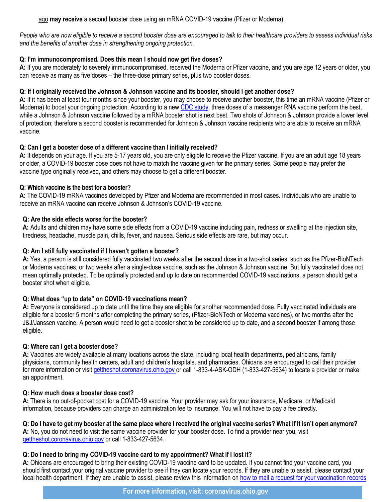ago **may receive** a second booster dose using an mRNA COVID-19 vaccine (Pfizer or Moderna).

*People who are now eligible to receive a second booster dose are encouraged to talk to their healthcare providers to assess individual risks and the benefits of another dose in strengthening ongoing protection.*

# **Q: I'm immunocompromised. Does this mean I should now get five doses?**

**A:** If you are moderately to severely immunocompromised, received the Moderna or Pfizer vaccine, and you are age 12 years or older, you can receive as many as five doses – the three-dose primary series, plus two booster doses.

# **Q: If I originally received the Johnson & Johnson vaccine and its booster, should I get another dose?**

**A:** If it has been at least four months since your booster, you may choose to receive another booster, this time an mRNA vaccine (Pfizer or Moderna) to boost your ongoing protection. According to a new [CDC study,](https://www.cdc.gov/mmwr/volumes/71/wr/mm7113e2.htm?s_cid=mm7113e2_w) three doses of a messenger RNA vaccine perform the best, while a Johnson & Johnson vaccine followed by a mRNA booster shot is next best. Two shots of Johnson & Johnson provide a lower level of protection; therefore a second booster is recommended for Johnson & Johnson vaccine recipients who are able to receive an mRNA vaccine.

## **Q: Can I get a booster dose of a different vaccine than I initially received?**

**A:** It depends on your age. If you are 5-17 years old, you are only eligible to receive the Pfizer vaccine. If you are an adult age 18 years or older, a COVID-19 booster dose does not have to match the vaccine given for the primary series. Some people may prefer the vaccine type originally received, and others may choose to get a different booster.

## **Q: Which vaccine is the best for a booster?**

**A:** The COVID-19 mRNA vaccines developed by Pfizer and Moderna are recommended in most cases. Individuals who are unable to receive an mRNA vaccine can receive Johnson & Johnson's COVID-19 vaccine.

# **Q: Are the side effects worse for the booster?**

**A:** Adults and children may have some side effects from a COVID-19 vaccine including pain, redness or swelling at the injection site, tiredness, headache, muscle pain, chills, fever, and nausea. Serious side effects are rare, but may occur.

## **Q: Am I still fully vaccinated if I haven't gotten a booster?**

**A:** Yes, a person is still considered fully vaccinated two weeks after the second dose in a two-shot series, such as the Pfizer-BioNTech or Moderna vaccines, or two weeks after a single-dose vaccine, such as the Johnson & Johnson vaccine. But fully vaccinated does not mean optimally protected. To be optimally protected and up to date on recommended COVID-19 vaccinations, a person should get a booster shot when eligible.

#### **Q: What does "up to date" on COVID-19 vaccinations mean?**

**A:** Everyone is considered up to date until the time they are eligible for another recommended dose. Fully vaccinated individuals are eligible for a booster 5 months after completing the primary series, (Pfizer-BioNTech or Moderna vaccines), or two months after the J&J/Janssen vaccine. A person would need to get a booster shot to be considered up to date, and a second booster if among those eligible.

#### **Q: Where can I get a booster dose?**

**A:** Vaccines are widely available at many locations across the state, including local health departments, pediatricians, family physicians, community health centers, adult and children's hospitals, and pharmacies. Ohioans are encouraged to call their provider for more information or visit [gettheshot.coronavirus.ohio.gov](https://gettheshot.coronavirus.ohio.gov/) or call 1-833-4-ASK-ODH (1-833-427-5634) to locate a provider or make an appointment.

#### **Q: How much does a booster dose cost?**

**A:** There is no out-of-pocket cost for a COVID-19 vaccine. Your provider may ask for your insurance, Medicare, or Medicaid information, because providers can charge an administration fee to insurance. You will not have to pay a fee directly.

### Q: Do I have to get my booster at the same place where I received the original vaccine series? What if it isn't open anymore?

**A:** No, you do not need to visit the same vaccine provider for your booster dose. To find a provider near you, visit [gettheshot.coronavirus.ohio.gov](https://gettheshot.coronavirus.ohio.gov/) or call 1-833-427-5634.

# **Q: Do I need to bring my COVID-19 vaccine card to my appointment? What if I lost it?**

**A:** Ohioans are encouraged to bring their existing COVID-19 vaccine card to be updated. If you cannot find your vaccine card, you should first contact your original vaccine provider to see if they can locate your records. If they are unable to assist, please contact your local health department. If they are unable to assist, please review this information on [how to mail a request for your vaccination records](https://coronavirus.ohio.gov/static/vaccine/public-instructions-to-access-impactsiis-record.pdf)